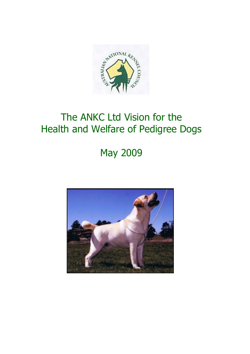

## The ANKC Ltd Vision for the Health and Welfare of Pedigree Dogs

# May 2009

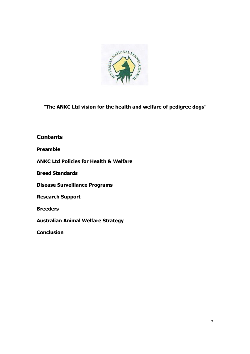

"The ANKC Ltd vision for the health and welfare of pedigree dogs"

## **Contents**

Preamble

ANKC Ltd Policies for Health & Welfare

Breed Standards

Disease Surveillance Programs

Research Support

**Breeders** 

Australian Animal Welfare Strategy

**Conclusion**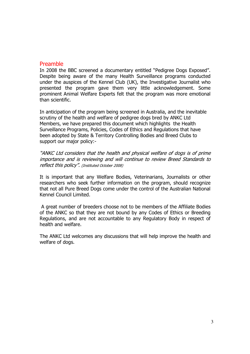#### Preamble

In 2008 the BBC screened a documentary entitled "Pedigree Dogs Exposed". Despite being aware of the many Health Surveillance programs conducted under the auspices of the Kennel Club (UK), the Investigative Journalist who presented the program gave them very little acknowledgement. Some prominent Animal Welfare Experts felt that the program was more emotional than scientific.

In anticipation of the program being screened in Australia, and the inevitable scrutiny of the health and welfare of pedigree dogs bred by ANKC Ltd Members, we have prepared this document which highlights the Health Surveillance Programs, Policies, Codes of Ethics and Regulations that have been adopted by State & Territory Controlling Bodies and Breed Clubs to support our major policy:-

"ANKC Ltd considers that the health and physical welfare of dogs is of prime importance and is reviewing and will continue to review Breed Standards to reflect this policy". (Instituted October 2008)

It is important that any Welfare Bodies, Veterinarians, Journalists or other researchers who seek further information on the program, should recognize that not all Pure Breed Dogs come under the control of the Australian National Kennel Council Limited.

 A great number of breeders choose not to be members of the Affiliate Bodies of the ANKC so that they are not bound by any Codes of Ethics or Breeding Regulations, and are not accountable to any Regulatory Body in respect of health and welfare.

The ANKC Ltd welcomes any discussions that will help improve the health and welfare of dogs.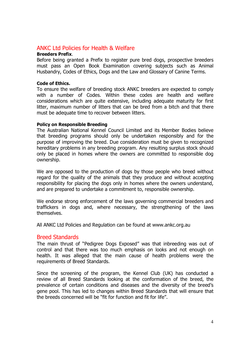## ANKC Ltd Policies for Health & Welfare

#### Breeders Prefix.

Before being granted a Prefix to register pure bred dogs, prospective breeders must pass an Open Book Examination covering subjects such as Animal Husbandry, Codes of Ethics, Dogs and the Law and Glossary of Canine Terms.

#### Code of Ethics.

To ensure the welfare of breeding stock ANKC breeders are expected to comply with a number of Codes. Within these codes are health and welfare considerations which are quite extensive, including adequate maturity for first litter, maximum number of litters that can be bred from a bitch and that there must be adequate time to recover between litters.

#### Policy on Responsible Breeding

The Australian National Kennel Council Limited and its Member Bodies believe that breeding programs should only be undertaken responsibly and for the purpose of improving the breed. Due consideration must be given to recognized hereditary problems in any breeding program. Any resulting surplus stock should only be placed in homes where the owners are committed to responsible dog ownership.

We are opposed to the production of dogs by those people who breed without regard for the quality of the animals that they produce and without accepting responsibility for placing the dogs only in homes where the owners understand, and are prepared to undertake a commitment to, responsible ownership.

We endorse strong enforcement of the laws governing commercial breeders and traffickers in dogs and, where necessary, the strengthening of the laws themselves.

All ANKC Ltd Policies and Regulation can be found at www.ankc.org.au

#### Breed Standards

The main thrust of "Pedigree Dogs Exposed" was that inbreeding was out of control and that there was too much emphasis on looks and not enough on health. It was alleged that the main cause of health problems were the requirements of Breed Standards.

Since the screening of the program, the Kennel Club (UK) has conducted a review of all Breed Standards looking at the conformation of the breed, the prevalence of certain conditions and diseases and the diversity of the breed's gene pool. This has led to changes within Breed Standards that will ensure that the breeds concerned will be "fit for function and fit for life".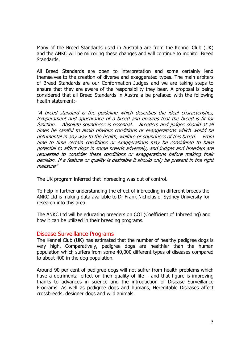Many of the Breed Standards used in Australia are from the Kennel Club (UK) and the ANKC will be mirroring these changes and will continue to monitor Breed Standards.

All Breed Standards are open to interpretation and some certainly lend themselves to the creation of diverse and exaggerated types. The main arbiters of Breed Standards are our Conformation Judges and we are taking steps to ensure that they are aware of the responsibility they bear. A proposal is being considered that all Breed Standards in Australia be prefaced with the following health statement:-

"A breed standard is the guideline which describes the ideal characteristics, temperament and appearance of a breed and ensures that the breed is fit for function. Absolute soundness is essential. Breeders and judges should at all times be careful to avoid obvious conditions or exaggerations which would be detrimental in any way to the health, welfare or soundness of this breed. From time to time certain conditions or exaggerations may be considered to have potential to affect dogs in some breeds adversely, and judges and breeders are requested to consider these conditions or exaggerations before making their decision. If a feature or quality is desirable it should only be present in the right measure"

The UK program inferred that inbreeding was out of control.

To help in further understanding the effect of inbreeding in different breeds the ANKC Ltd is making data available to Dr Frank Nicholas of Sydney University for research into this area.

The ANKC Ltd will be educating breeders on COI (Coefficient of Inbreeding) and how it can be utilized in their breeding programs.

#### Disease Surveillance Programs

The Kennel Club (UK) has estimated that the number of healthy pedigree dogs is very high. Comparatively, pedigree dogs are healthier than the human population which suffers from some 40,000 different types of diseases compared to about 400 in the dog population.

Around 90 per cent of pedigree dogs will not suffer from health problems which have a detrimental effect on their quality of life  $-$  and that figure is improving thanks to advances in science and the introduction of Disease Surveillance Programs. As well as pedigree dogs and humans, Hereditable Diseases affect crossbreeds, designer dogs and wild animals.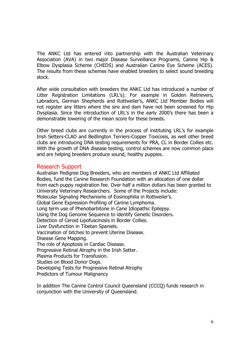The ANKC Ltd has entered into partnership with the Australian Veterinary Association (AVA) in two major Disease Surveillance Programs, Canine Hip & Elbow Dysplasia Scheme (CHEDS) and Australian Canine Eye Scheme (ACES). The results from these schemes have enabled breeders to select sound breeding stock.

After wide consultation with breeders the ANKC Ltd has introduced a number of Litter Registration Limitations (LRL's). For example in Golden Retrievers, Labradors, German Shepherds and Rottweiler's, ANKC Ltd Member Bodies will not register any litters where the sire and dam have not been screened for Hip Dysplasia. Since the introduction of LRL's in the early 2000's there has been a demonstrable lowering of the mean score for these breeds.

Other breed clubs are currently in the process of instituting LRL's for example Irish Setters-CLAD and Bedlington Terriers-Copper Toxicosis, as well other breed clubs are introducing DNA testing requirements for PRA, CL in Border Collies etc. With the growth of DNA disease testing, control schemes are now common place and are helping breeders produce sound, healthy puppies.

### Research Support

Australian Pedigree Dog Breeders, who are members of ANKC Ltd Affiliated Bodies, fund the Canine Research Foundation with an allocation of one dollar from each puppy registration fee. Over half a million dollars has been granted to University Veterinary Researchers. Some of the Projects include: Molecular Signaling Mechanisms of Eosinophilia in Rottweiler's. Global Gene Expression Profiling of Canine Lymphoma. Long term use of Phenobarbitone in Cane Idiopathic Epilepsy. Using the Dog Genome Sequence to identify Genetic Disorders. Detection of Ceroid Lipofuscinosis in Border Collies. Liver Dysfunction in Tibetan Spaniels. Vaccination of bitches to prevent Uterine Disease. Disease Gene Mapping. The role of Apoptosis in Cardiac Disease. Progressive Retinal Atrophy in the Irish Setter. Plasma Products for Transfusion. Studies on Blood Donor Dogs. Developing Tests for Progressive Retinal Atrophy Predictors of Tumour Malignancy

In addition The Canine Control Council Queensland (CCCQ) funds research in conjunction with the University of Queensland.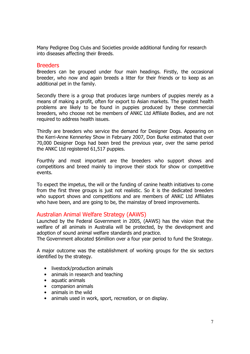Many Pedigree Dog Clubs and Societies provide additional funding for research into diseases affecting their Breeds.

#### Breeders

Breeders can be grouped under four main headings. Firstly, the occasional breeder, who now and again breeds a litter for their friends or to keep as an additional pet in the family.

Secondly there is a group that produces large numbers of puppies merely as a means of making a profit, often for export to Asian markets. The greatest health problems are likely to be found in puppies produced by these commercial breeders, who choose not be members of ANKC Ltd Affiliate Bodies, and are not required to address health issues.

Thirdly are breeders who service the demand for Designer Dogs. Appearing on the Kerri-Anne Kennerley Show in February 2007, Don Burke estimated that over 70,000 Designer Dogs had been bred the previous year, over the same period the ANKC Ltd registered 61,517 puppies.

Fourthly and most important are the breeders who support shows and competitions and breed mainly to improve their stock for show or competitive events.

To expect the impetus, the will or the funding of canine health initiatives to come from the first three groups is just not realistic. So it is the dedicated breeders who support shows and competitions and are members of ANKC Ltd Affiliates who have been, and are going to be, the mainstay of breed improvements.

#### Australian Animal Welfare Strategy (AAWS)

Launched by the Federal Government in 2005, (AAWS) has the vision that the welfare of all animals in Australia will be protected, by the development and adoption of sound animal welfare standards and practice.

The Government allocated \$6million over a four year period to fund the Strategy.

A major outcome was the establishment of working groups for the six sectors identified by the strategy.

- livestock/production animals
- animals in research and teaching
- aquatic animals
- companion animals
- animals in the wild
- animals used in work, sport, recreation, or on display.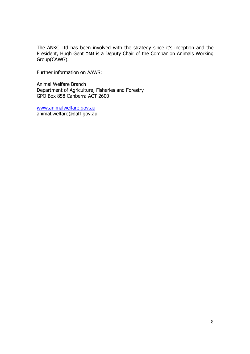The ANKC Ltd has been involved with the strategy since it's inception and the President, Hugh Gent OAM is a Deputy Chair of the Companion Animals Working Group(CAWG).

Further information on AAWS:

Animal Welfare Branch Department of Agriculture, Fisheries and Forestry GPO Box 858 Canberra ACT 2600

www.animalwelfare.gov.au animal.welfare@daff.gov.au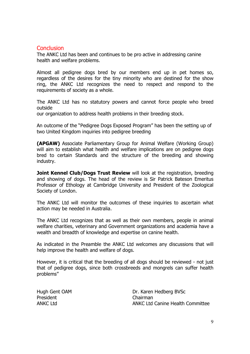## **Conclusion**

The ANKC Ltd has been and continues to be pro active in addressing canine health and welfare problems.

Almost all pedigree dogs bred by our members end up in pet homes so, regardless of the desires for the tiny minority who are destined for the show ring, the ANKC Ltd recognizes the need to respect and respond to the requirements of society as a whole.

The ANKC Ltd has no statutory powers and cannot force people who breed outside

our organization to address health problems in their breeding stock.

An outcome of the "Pedigree Dogs Exposed Program" has been the setting up of two United Kingdom inquiries into pedigree breeding

(APGAW) Associate Parliamentary Group for Animal Welfare (Working Group) will aim to establish what health and welfare implications are on pedigree dogs bred to certain Standards and the structure of the breeding and showing industry.

Joint Kennel Club/Dogs Trust Review will look at the registration, breeding and showing of dogs. The head of the review is Sir Patrick Bateson Emeritus Professor of Ethology at Cambridge University and President of the Zoological Society of London.

The ANKC Ltd will monitor the outcomes of these inquiries to ascertain what action may be needed in Australia.

The ANKC Ltd recognizes that as well as their own members, people in animal welfare charities, veterinary and Government organizations and academia have a wealth and breadth of knowledge and expertise on canine health.

As indicated in the Preamble the ANKC Ltd welcomes any discussions that will help improve the health and welfare of dogs.

However, it is critical that the breeding of all dogs should be reviewed - not just that of pedigree dogs, since both crossbreeds and mongrels can suffer health problems"

President Chairman

Hugh Gent OAM Dr. Karen Hedberg BVSc ANKC Ltd ANKC Ltd Canine Health Committee